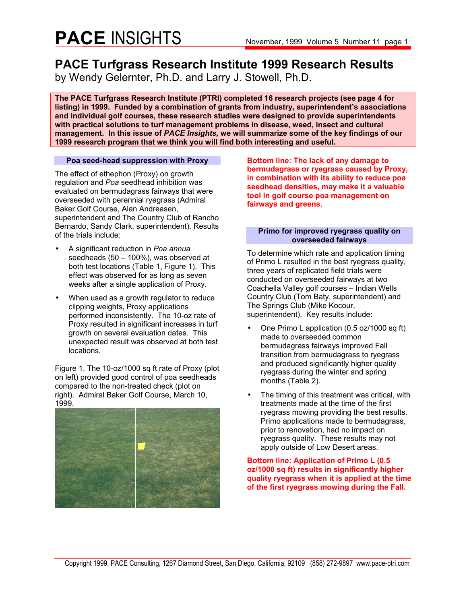## **PACE** INSIGHTS November, 1999 Volume 5 Number 11 page 1

### **PACE Turfgrass Research Institute 1999 Research Results**

by Wendy Gelernter, Ph.D. and Larry J. Stowell, Ph.D.

**The PACE Turfgrass Research Institute (PTRI) completed 16 research projects (see page 4 for listing) in 1999. Funded by a combination of grants from industry, superintendent's associations and individual golf courses, these research studies were designed to provide superintendents with practical solutions to turf management problems in disease, weed, insect and cultural management. In this issue of** *PACE Insights,* **we will summarize some of the key findings of our 1999 research program that we think you will find both interesting and useful.** 

#### **Poa seed-head suppression with Proxy**

The effect of ethephon (Proxy) on growth regulation and *Poa* seedhead inhibition was evaluated on bermudagrass fairways that were overseeded with perennial ryegrass (Admiral Baker Golf Course, Alan Andreasen, superintendent and The Country Club of Rancho Bernardo, Sandy Clark, superintendent). Results of the trials include:

- A significant reduction in *Poa annua*  seedheads (50 – 100%), was observed at both test locations (Table 1, Figure 1). This effect was observed for as long as seven weeks after a single application of Proxy.
- When used as a growth regulator to reduce clipping weights, Proxy applications performed inconsistently. The 10-oz rate of Proxy resulted in significant increases in turf growth on several evaluation dates. This unexpected result was observed at both test locations.

Figure 1. The 10-oz/1000 sq ft rate of Proxy (plot on left) provided good control of poa seedheads compared to the non-treated check (plot on right). Admiral Baker Golf Course, March 10, 1999.



**Bottom line: The lack of any damage to bermudagrass or ryegrass caused by Proxy, in combination with its ability to reduce poa seedhead densities, may make it a valuable tool in golf course poa management on fairways and greens.** 

#### **Primo for improved ryegrass quality on overseeded fairways**

To determine which rate and application timing of Primo L resulted in the best ryegrass quality, three years of replicated field trials were conducted on overseeded fairways at two Coachella Valley golf courses – Indian Wells Country Club (Tom Baty, superintendent) and The Springs Club (Mike Kocour, superintendent). Key results include:

- One Primo L application (0.5 oz/1000 sq ft) made to overseeded common bermudagrass fairways improved Fall transition from bermudagrass to ryegrass and produced significantly higher quality ryegrass during the winter and spring months (Table 2).
- The timing of this treatment was critical, with treatments made at the time of the first ryegrass mowing providing the best results. Primo applications made to bermudagrass, prior to renovation, had no impact on ryegrass quality. These results may not apply outside of Low Desert areas.

#### **Bottom line: Application of Primo L (0.5 oz/1000 sq ft) results in significantly higher quality ryegrass when it is applied at the time of the first ryegrass mowing during the Fall.**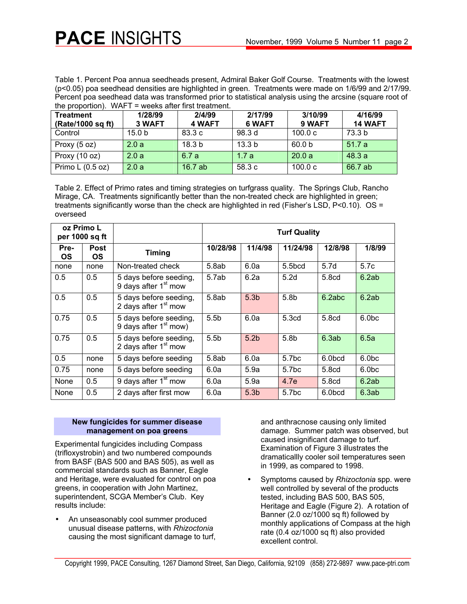Table 1. Percent Poa annua seedheads present, Admiral Baker Golf Course. Treatments with the lowest (p<0.05) poa seedhead densities are highlighted in green. Treatments were made on 1/6/99 and 2/17/99. Percent poa seedhead data was transformed prior to statistical analysis using the arcsine (square root of the proportion). WAFT = weeks after first treatment.

| <b>Treatment</b><br>(Rate/1000 sq ft) | 1/28/99<br>3 WAFT | 2/4/99<br><b>4 WAFT</b> | 2/17/99<br>6 WAFT | 3/10/99<br>9 WAFT | 4/16/99<br><b>14 WAFT</b> |
|---------------------------------------|-------------------|-------------------------|-------------------|-------------------|---------------------------|
| Control                               | 15.0 <sub>b</sub> | 83.3 c                  | 98.3 d            | 100.0c            | 73.3 <sub>b</sub>         |
| Proxy $(5 oz)$                        | 2.0a              | 18.3 <sub>b</sub>       | 13.3 <sub>b</sub> | 60.0 <sub>b</sub> | 51.7a                     |
| Proxy (10 oz)                         | 2.0a              | 6.7a                    | 1.7a              | 20.0a             | 48.3a                     |
| Primo $L(0.5 oz)$                     | 2.0a              | 16.7ab                  | 58.3 c            | 100.0c            | 66.7 ab                   |

Table 2. Effect of Primo rates and timing strategies on turfgrass quality. The Springs Club, Rancho Mirage, CA. Treatments significantly better than the non-treated check are highlighted in green; treatments significantly worse than the check are highlighted in red (Fisher's LSD, P<0.10). OS = overseed

| oz Primo L<br>per 1000 sq ft |                   |                                                            | <b>Turf Quality</b> |                  |                    |         |                  |  |
|------------------------------|-------------------|------------------------------------------------------------|---------------------|------------------|--------------------|---------|------------------|--|
| Pre-<br><b>OS</b>            | Post<br><b>OS</b> | <b>Timing</b>                                              | 10/28/98            | 11/4/98          | 11/24/98           | 12/8/98 | 1/8/99           |  |
| none                         | none              | Non-treated check                                          | 5.8ab               | 6.0a             | 5.5 <sub>bcd</sub> | 5.7d    | 5.7c             |  |
| 0.5                          | 0.5               | 5 days before seeding,<br>9 days after 1 <sup>st</sup> mow | 5.7ab               | 6.2a             | 5.2d               | 5.8cd   | 6.2ab            |  |
| 0.5                          | 0.5               | 5 days before seeding,<br>2 days after 1 <sup>st</sup> mow | 5.8ab               | 5.3 <sub>b</sub> | 5.8 <sub>b</sub>   | 6.2abc  | 6.2ab            |  |
| 0.75                         | 0.5               | 5 days before seeding,<br>9 days after $1st$ mow)          | 5.5 <sub>b</sub>    | 6.0a             | 5.3 <sub>cd</sub>  | 5.8cd   | 6.0 <sub>b</sub> |  |
| 0.75                         | 0.5               | 5 days before seeding,<br>2 days after $1st$ mow           | 5.5 <sub>b</sub>    | 5.2 <sub>b</sub> | 5.8b               | 6.3ab   | 6.5a             |  |
| 0.5                          | none              | 5 days before seeding                                      | 5.8ab               | 6.0a             | 5.7 <sub>bc</sub>  | 6.0bcd  | 6.0 <sub>b</sub> |  |
| 0.75                         | none              | 5 days before seeding                                      | 6.0a                | 5.9a             | 5.7 <sub>bc</sub>  | 5.8cd   | 6.0 <sub>b</sub> |  |
| None                         | 0.5               | 9 days after 1 <sup>st</sup> mow                           | 6.0a                | 5.9a             | 4.7e               | 5.8cd   | 6.2ab            |  |
| None                         | 0.5               | 2 days after first mow                                     | 6.0a                | 5.3 <sub>b</sub> | 5.7 <sub>bc</sub>  | 6.0bcd  | 6.3ab            |  |

#### **New fungicides for summer disease management on poa greens**

Experimental fungicides including Compass (trifloxystrobin) and two numbered compounds from BASF (BAS 500 and BAS 505), as well as commercial standards such as Banner, Eagle and Heritage, were evaluated for control on poa greens, in cooperation with John Martinez, superintendent, SCGA Member's Club. Key results include:

• An unseasonably cool summer produced unusual disease patterns, with *Rhizoctonia*  causing the most significant damage to turf, and anthracnose causing only limited damage. Summer patch was observed, but caused insignificant damage to turf. Examination of Figure 3 illustrates the dramaticallly cooler soil temperatures seen in 1999, as compared to 1998.

• Symptoms caused by *Rhizoctonia* spp. were well controlled by several of the products tested, including BAS 500, BAS 505, Heritage and Eagle (Figure 2). A rotation of Banner (2.0 oz/1000 sq ft) followed by monthly applications of Compass at the high rate (0.4 oz/1000 sq ft) also provided excellent control.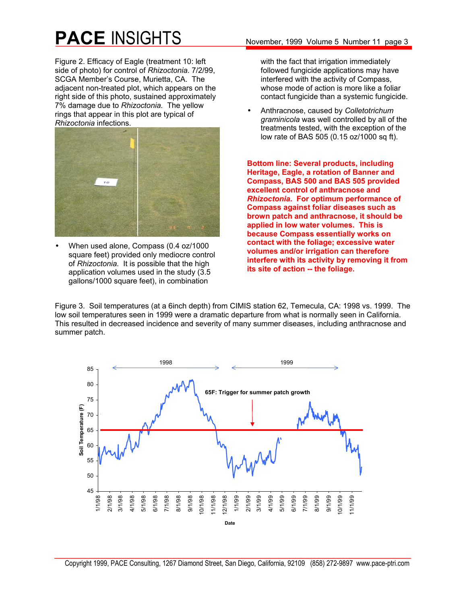# **PACE** INSIGHTS November, 1999 Volume 5 Number 11 page 3

Figure 2. Efficacy of Eagle (treatment 10: left side of photo) for control of *Rhizoctonia.* 7/2/99, SCGA Member's Course, Murietta, CA. The adjacent non-treated plot, which appears on the right side of this photo, sustained approximately 7% damage due to *Rhizoctonia.* The yellow rings that appear in this plot are typical of *Rhizoctonia* infections.



• When used alone, Compass (0.4 oz/1000 square feet) provided only mediocre control of *Rhizoctonia.* It is possible that the high application volumes used in the study (3.5 gallons/1000 square feet), in combination

with the fact that irrigation immediately followed fungicide applications may have interfered with the activity of Compass, whose mode of action is more like a foliar contact fungicide than a systemic fungicide.

• Anthracnose, caused by *Colletotrichum graminicola* was well controlled by all of the treatments tested, with the exception of the low rate of BAS 505 (0.15 oz/1000 sq ft).

**Bottom line: Several products, including Heritage, Eagle, a rotation of Banner and Compass, BAS 500 and BAS 505 provided excellent control of anthracnose and**  *Rhizoctonia.* **For optimum performance of Compass against foliar diseases such as brown patch and anthracnose, it should be applied in low water volumes. This is because Compass essentially works on contact with the foliage; excessive water volumes and/or irrigation can therefore interfere with its activity by removing it from its site of action -- the foliage.** 

Figure 3. Soil temperatures (at a 6inch depth) from CIMIS station 62, Temecula, CA: 1998 vs. 1999. The low soil temperatures seen in 1999 were a dramatic departure from what is normally seen in California. This resulted in decreased incidence and severity of many summer diseases, including anthracnose and summer patch.